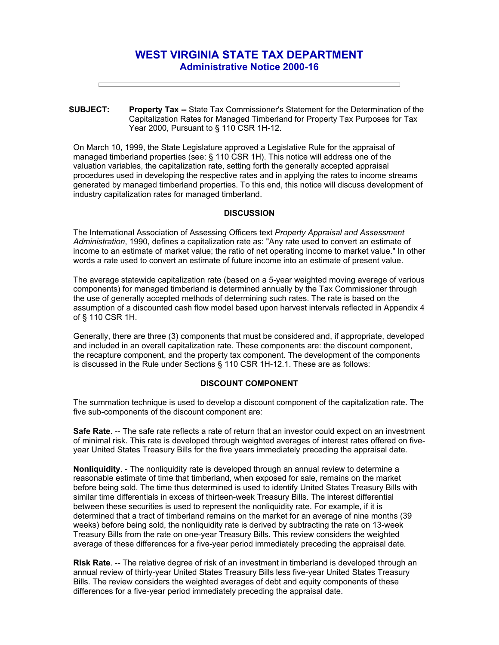# **WEST VIRGINIA STATE TAX DEPARTMENT Administrative Notice 2000-16**

**SUBJECT: Property Tax --** State Tax Commissioner's Statement for the Determination of the Capitalization Rates for Managed Timberland for Property Tax Purposes for Tax Year 2000, Pursuant to § 110 CSR 1H-12.

On March 10, 1999, the State Legislature approved a Legislative Rule for the appraisal of managed timberland properties (see: § 110 CSR 1H). This notice will address one of the valuation variables, the capitalization rate, setting forth the generally accepted appraisal procedures used in developing the respective rates and in applying the rates to income streams generated by managed timberland properties. To this end, this notice will discuss development of industry capitalization rates for managed timberland.

#### **DISCUSSION**

The International Association of Assessing Officers text *Property Appraisal and Assessment Administration*, 1990, defines a capitalization rate as: "Any rate used to convert an estimate of income to an estimate of market value; the ratio of net operating income to market value." In other words a rate used to convert an estimate of future income into an estimate of present value.

The average statewide capitalization rate (based on a 5-year weighted moving average of various components) for managed timberland is determined annually by the Tax Commissioner through the use of generally accepted methods of determining such rates. The rate is based on the assumption of a discounted cash flow model based upon harvest intervals reflected in Appendix 4 of § 110 CSR 1H.

Generally, there are three (3) components that must be considered and, if appropriate, developed and included in an overall capitalization rate. These components are: the discount component, the recapture component, and the property tax component. The development of the components is discussed in the Rule under Sections § 110 CSR 1H-12.1. These are as follows:

#### **DISCOUNT COMPONENT**

The summation technique is used to develop a discount component of the capitalization rate. The five sub-components of the discount component are:

**Safe Rate**. -- The safe rate reflects a rate of return that an investor could expect on an investment of minimal risk. This rate is developed through weighted averages of interest rates offered on fiveyear United States Treasury Bills for the five years immediately preceding the appraisal date.

**Nonliquidity**. - The nonliquidity rate is developed through an annual review to determine a reasonable estimate of time that timberland, when exposed for sale, remains on the market before being sold. The time thus determined is used to identify United States Treasury Bills with similar time differentials in excess of thirteen-week Treasury Bills. The interest differential between these securities is used to represent the nonliquidity rate. For example, if it is determined that a tract of timberland remains on the market for an average of nine months (39 weeks) before being sold, the nonliquidity rate is derived by subtracting the rate on 13-week Treasury Bills from the rate on one-year Treasury Bills. This review considers the weighted average of these differences for a five-year period immediately preceding the appraisal date.

**Risk Rate**. -- The relative degree of risk of an investment in timberland is developed through an annual review of thirty-year United States Treasury Bills less five-year United States Treasury Bills. The review considers the weighted averages of debt and equity components of these differences for a five-year period immediately preceding the appraisal date.